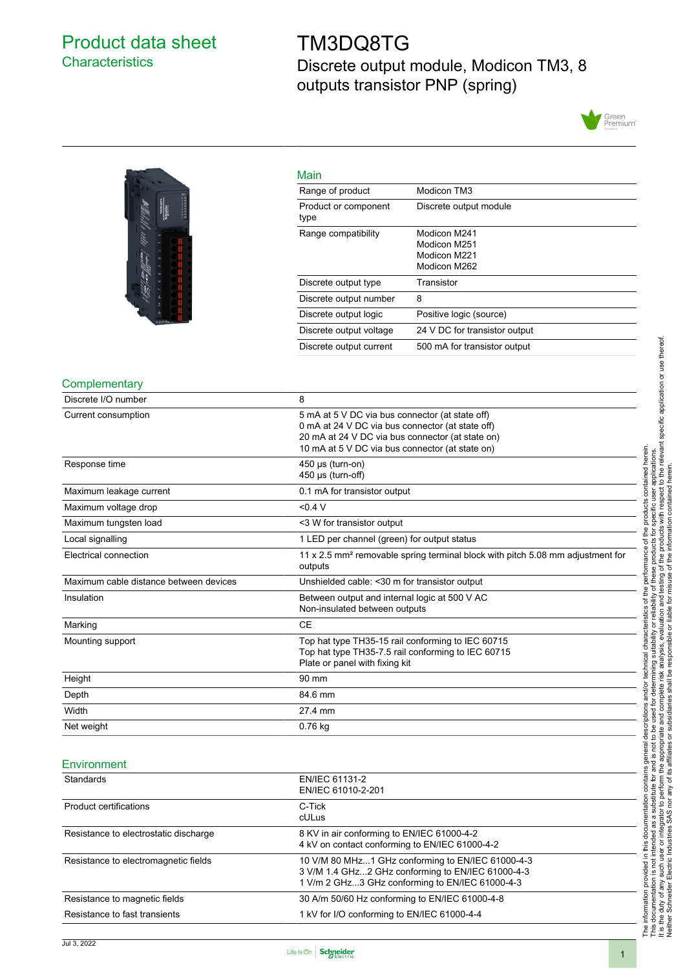# <span id="page-0-0"></span>Product data sheet **Characteristics**

# TM3DQ8TG Discrete output module, Modicon TM3, 8 outputs transistor PNP (spring)





| Main                         |                                                              |
|------------------------------|--------------------------------------------------------------|
| Range of product             | Modicon TM3                                                  |
| Product or component<br>type | Discrete output module                                       |
| Range compatibility          | Modicon M241<br>Modicon M251<br>Modicon M221<br>Modicon M262 |
| Discrete output type         | Transistor                                                   |
| Discrete output number       | 8                                                            |
| Discrete output logic        | Positive logic (source)                                      |
| Discrete output voltage      | 24 V DC for transistor output                                |
| Discrete output current      | 500 mA for transistor output                                 |

#### **Complementary**

| Discrete I/O number                    | 8                                                                                                                                                                                                          |
|----------------------------------------|------------------------------------------------------------------------------------------------------------------------------------------------------------------------------------------------------------|
| Current consumption                    | 5 mA at 5 V DC via bus connector (at state off)<br>0 mA at 24 V DC via bus connector (at state off)<br>20 mA at 24 V DC via bus connector (at state on)<br>10 mA at 5 V DC via bus connector (at state on) |
| Response time                          | 450 µs (turn-on)<br>450 µs (turn-off)                                                                                                                                                                      |
| Maximum leakage current                | 0.1 mA for transistor output                                                                                                                                                                               |
| Maximum voltage drop                   | < 0.4 V                                                                                                                                                                                                    |
| Maximum tungsten load                  | <3 W for transistor output                                                                                                                                                                                 |
| Local signalling                       | 1 LED per channel (green) for output status                                                                                                                                                                |
| Electrical connection                  | 11 x 2.5 mm <sup>2</sup> removable spring terminal block with pitch 5.08 mm adjustment for<br>outputs                                                                                                      |
| Maximum cable distance between devices | Unshielded cable: < 30 m for transistor output                                                                                                                                                             |
| Insulation                             | Between output and internal logic at 500 V AC<br>Non-insulated between outputs                                                                                                                             |
| Marking                                | <b>CE</b>                                                                                                                                                                                                  |
| Mounting support                       | Top hat type TH35-15 rail conforming to IEC 60715<br>Top hat type TH35-7.5 rail conforming to IEC 60715<br>Plate or panel with fixing kit                                                                  |
| Height                                 | 90 mm                                                                                                                                                                                                      |
| Depth                                  | 84.6 mm                                                                                                                                                                                                    |
| Width                                  | 27.4 mm                                                                                                                                                                                                    |
| Net weight                             | 0.76 kg                                                                                                                                                                                                    |

#### **Environment**

| Standards                             | EN/IEC 61131-2<br>EN/IEC 61010-2-201                                                                                                                      |  |
|---------------------------------------|-----------------------------------------------------------------------------------------------------------------------------------------------------------|--|
| Product certifications                | C-Tick<br>cULus                                                                                                                                           |  |
| Resistance to electrostatic discharge | 8 KV in air conforming to EN/IEC 61000-4-2<br>4 kV on contact conforming to EN/IEC 61000-4-2                                                              |  |
| Resistance to electromagnetic fields  | 10 V/M 80 MHz1 GHz conforming to EN/IEC 61000-4-3<br>3 V/M 1.4 GHz2 GHz conforming to EN/IEC 61000-4-3<br>1 V/m 2 GHz3 GHz conforming to EN/IEC 61000-4-3 |  |
| Resistance to magnetic fields         | 30 A/m 50/60 Hz conforming to EN/IEC 61000-4-8                                                                                                            |  |
| Resistance to fast transients         | 1 kV for I/O conforming to EN/IEC 61000-4-4                                                                                                               |  |

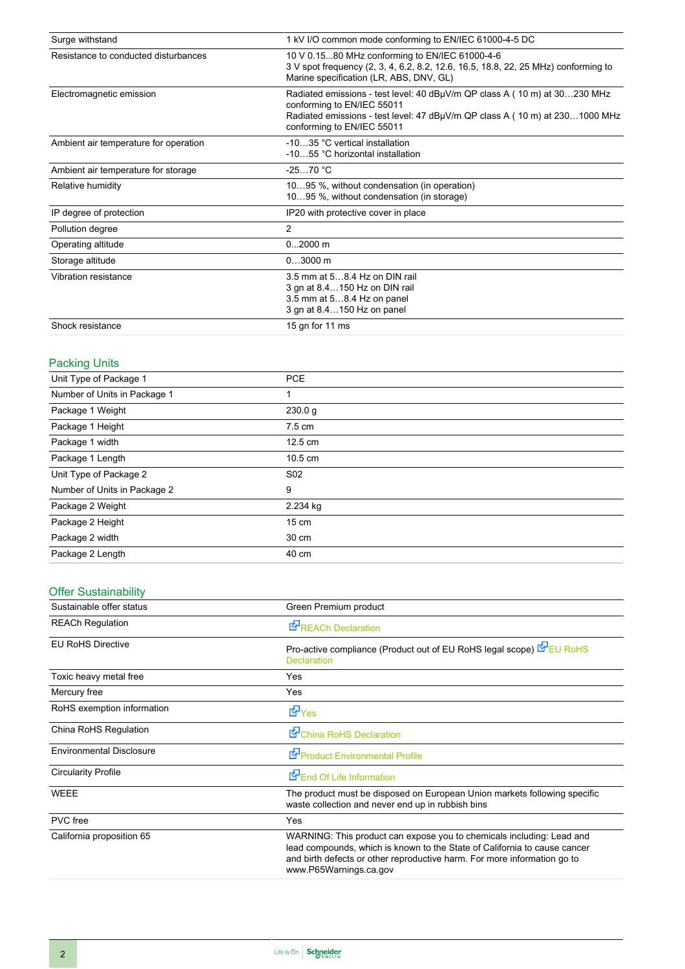| Surge withstand                       | 1 kV I/O common mode conforming to EN/IEC 61000-4-5 DC                                                                                                                                                               |
|---------------------------------------|----------------------------------------------------------------------------------------------------------------------------------------------------------------------------------------------------------------------|
| Resistance to conducted disturbances  | 10 V 0.1580 MHz conforming to EN/IEC 61000-4-6<br>3 V spot frequency (2, 3, 4, 6.2, 8.2, 12.6, 16.5, 18.8, 22, 25 MHz) conforming to<br>Marine specification (LR, ABS, DNV, GL)                                      |
| Electromagnetic emission              | Radiated emissions - test level: 40 dBµV/m QP class A (10 m) at 30230 MHz<br>conforming to EN/IEC 55011<br>Radiated emissions - test level: 47 dBµV/m QP class A (10 m) at 2301000 MHz<br>conforming to EN/IEC 55011 |
| Ambient air temperature for operation | -1035 °C vertical installation<br>-1055 °C horizontal installation                                                                                                                                                   |
| Ambient air temperature for storage   | $-2570 °C$                                                                                                                                                                                                           |
| Relative humidity                     | 1095 %, without condensation (in operation)<br>1095 %, without condensation (in storage)                                                                                                                             |
| IP degree of protection               | IP20 with protective cover in place                                                                                                                                                                                  |
| Pollution degree                      | $\overline{2}$                                                                                                                                                                                                       |
| Operating altitude                    | $02000$ m                                                                                                                                                                                                            |
| Storage altitude                      | $03000$ m                                                                                                                                                                                                            |
| Vibration resistance                  | 3.5 mm at 58.4 Hz on DIN rail<br>3 gn at 8.4150 Hz on DIN rail<br>3.5 mm at 58.4 Hz on panel<br>3 gn at 8.4150 Hz on panel                                                                                           |
| Shock resistance                      | 15 gn for 11 ms                                                                                                                                                                                                      |

# Packing Units

| Unit Type of Package 1       | <b>PCE</b>        |
|------------------------------|-------------------|
| Number of Units in Package 1 |                   |
| Package 1 Weight             | 230.0 g           |
| Package 1 Height             | $7.5 \text{ cm}$  |
| Package 1 width              | $12.5 \text{ cm}$ |
| Package 1 Length             | $10.5 \text{ cm}$ |
| Unit Type of Package 2       | S <sub>02</sub>   |
| Number of Units in Package 2 | 9                 |
| Package 2 Weight             | 2.234 kg          |
| Package 2 Height             | $15 \text{ cm}$   |
| Package 2 width              | 30 cm             |
| Package 2 Length             | 40 cm             |

# Offer Sustainability

| Sustainable offer status        | Green Premium product                                                                                                                                                                                                                                    |
|---------------------------------|----------------------------------------------------------------------------------------------------------------------------------------------------------------------------------------------------------------------------------------------------------|
| <b>REACh Regulation</b>         | <b>E</b> <sup>I</sup> REACh Declaration                                                                                                                                                                                                                  |
| <b>EU RoHS Directive</b>        | Pro-active compliance (Product out of EU RoHS legal scope) EVEU RoHS<br><b>Declaration</b>                                                                                                                                                               |
| Toxic heavy metal free          | Yes                                                                                                                                                                                                                                                      |
| Mercury free                    | Yes                                                                                                                                                                                                                                                      |
| RoHS exemption information      | <b>d</b> Yes                                                                                                                                                                                                                                             |
| China RoHS Regulation           | China RoHS Declaration                                                                                                                                                                                                                                   |
| <b>Environmental Disclosure</b> | Product Environmental Profile                                                                                                                                                                                                                            |
| <b>Circularity Profile</b>      | End Of Life Information                                                                                                                                                                                                                                  |
| <b>WEEE</b>                     | The product must be disposed on European Union markets following specific<br>waste collection and never end up in rubbish bins                                                                                                                           |
| <b>PVC</b> free                 | Yes                                                                                                                                                                                                                                                      |
| California proposition 65       | WARNING: This product can expose you to chemicals including: Lead and<br>lead compounds, which is known to the State of California to cause cancer<br>and birth defects or other reproductive harm. For more information go to<br>www.P65Warnings.ca.gov |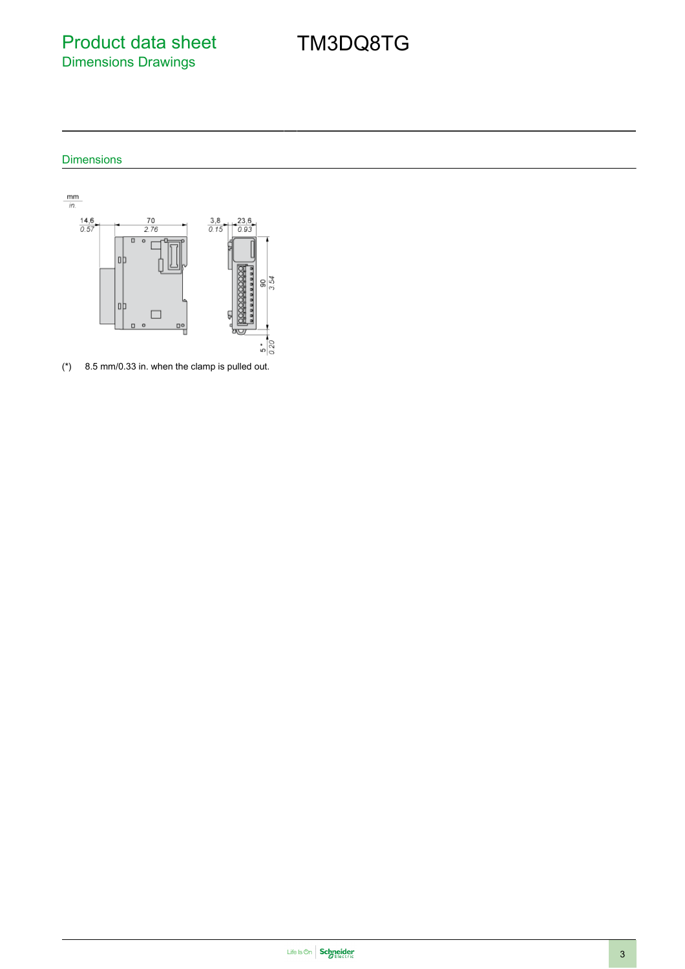Product data sheet Dimensions Drawings

TM3DQ8TG

## Dimensions



(\*) 8.5 mm/0.33 in. when the clamp is pulled out.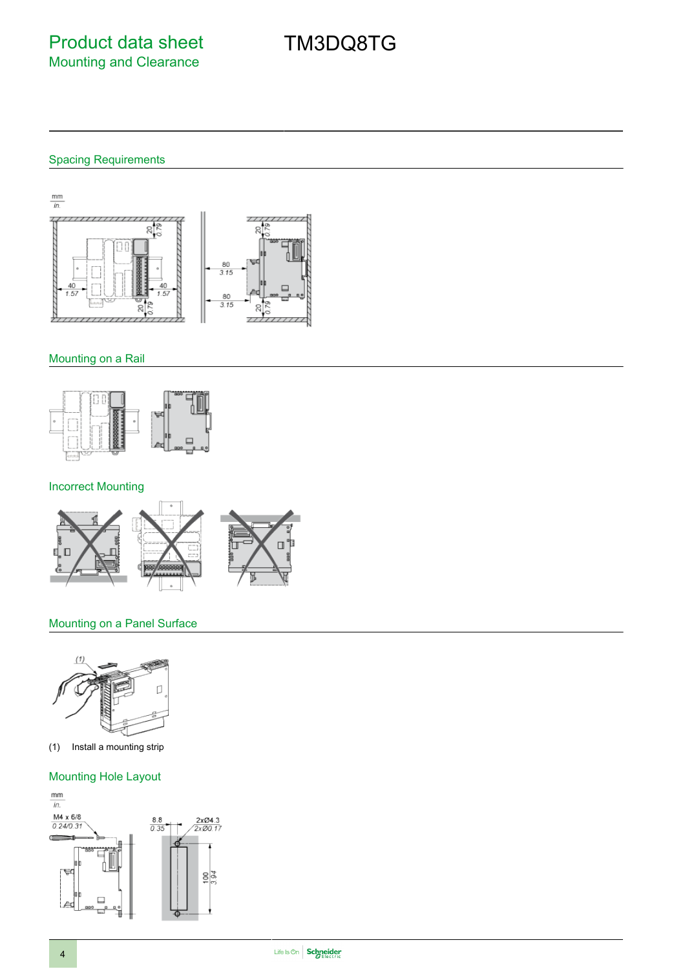#### Spacing Requirements

 $\frac{mm}{in.}$ 긲  $\overline{111}$  $\overline{\phantom{a}}$ g  $\frac{80}{3.15}$ 80  $3.15$ 20  $\mathcal{R}$  $\frac{1}{2}$ 

#### Mounting on a Rail



## Incorrect Mounting



#### Mounting on a Panel Surface



(1) Install a mounting strip

#### Mounting Hole Layout